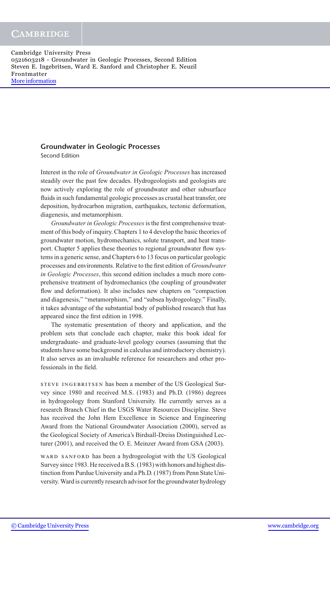#### **Groundwater in Geologic Processes**

Second Edition

Interest in the role of *Groundwater in Geologic Processes* has increased steadily over the past few decades. Hydrogeologists and geologists are now actively exploring the role of groundwater and other subsurface fluids in such fundamental geologic processes as crustal heat transfer, ore deposition, hydrocarbon migration, earthquakes, tectonic deformation, diagenesis, and metamorphism.

*Groundwater in Geologic Processes* is the first comprehensive treatment of this body of inquiry. Chapters 1 to 4 develop the basic theories of groundwater motion, hydromechanics, solute transport, and heat transport. Chapter 5 applies these theories to regional groundwater flow systems in a generic sense, and Chapters 6 to 13 focus on particular geologic processes and environments. Relative to the first edition of *Groundwater in Geologic Processes*, this second edition includes a much more comprehensive treatment of hydromechanics (the coupling of groundwater flow and deformation). It also includes new chapters on "compaction and diagenesis," "metamorphism," and "subsea hydrogeology." Finally, it takes advantage of the substantial body of published research that has appeared since the first edition in 1998.

The systematic presentation of theory and application, and the problem sets that conclude each chapter, make this book ideal for undergraduate- and graduate-level geology courses (assuming that the students have some background in calculus and introductory chemistry). It also serves as an invaluable reference for researchers and other professionals in the field.

STEVE INGEBRITSEN has been a member of the US Geological Survey since 1980 and received M.S. (1983) and Ph.D. (1986) degrees in hydrogeology from Stanford University. He currently serves as a research Branch Chief in the USGS Water Resources Discipline. Steve has received the John Hem Excellence in Science and Engineering Award from the National Groundwater Association (2000), served as the Geological Society of America's Birdsall-Dreiss Distinguished Lecturer (2001), and received the O. E. Meinzer Award from GSA (2003).

WARD SANFORD has been a hydrogeologist with the US Geological Survey since 1983. He received a B.S. (1983) with honors and highest distinction from Purdue University and a Ph.D. (1987) from Penn State University.Ward is currently research advisor for the groundwater hydrology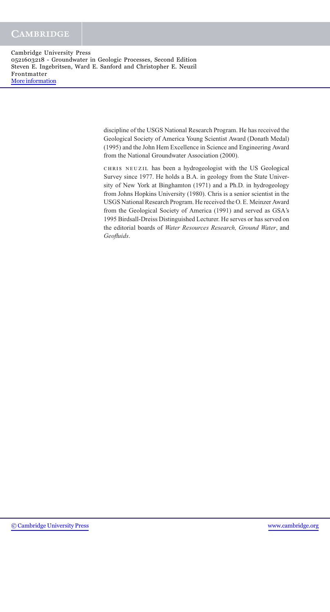> discipline of the USGS National Research Program. He has received the Geological Society of America Young Scientist Award (Donath Medal) (1995) and the John Hem Excellence in Science and Engineering Award from the National Groundwater Association (2000).

> chris neuzil has been a hydrogeologist with the US Geological Survey since 1977. He holds a B.A. in geology from the State University of New York at Binghamton (1971) and a Ph.D. in hydrogeology from Johns Hopkins University (1980). Chris is a senior scientist in the USGS National Research Program. He received the O. E. Meinzer Award from the Geological Society of America (1991) and served as GSA's 1995 Birdsall-Dreiss Distinguished Lecturer. He serves or has served on the editorial boards of *Water Resources Research, Ground Water*, and *Geofluids*.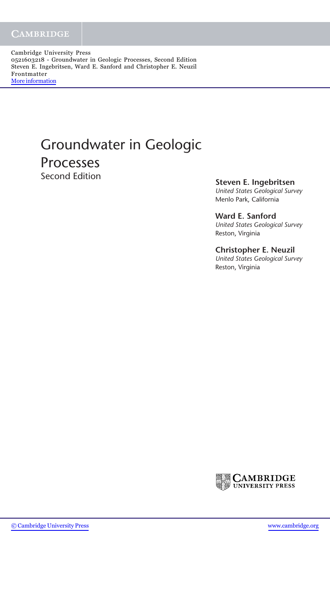# Groundwater in Geologic **Processes**<br>Second Edition

**Steven E. Ingebritsen** 

*United States Geological Survey* Menlo Park, California

**Ward E. Sanford** *United States Geological Survey* Reston, Virginia

#### **Christopher E. Neuzil**

*United States Geological Survey* Reston, Virginia

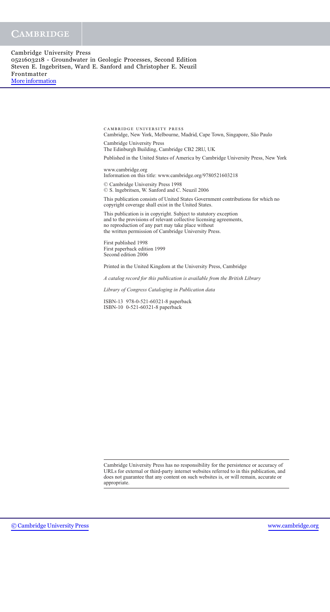> cambridge university press Cambridge, New York, Melbourne, Madrid, Cape Town, Singapore, S˜ao Paulo

Cambridge University Press The Edinburgh Building, Cambridge CB2 2RU, UK Published in the United States of America by Cambridge University Press, New York

www.cambridge.org Information on this title: www.cambridge.org/9780521603218

<sup>C</sup> Cambridge University Press 1998 <sup>C</sup> S. lngebritsen, W. Sanford and C. Neuzil 2006

This publication consists of United States Government contributions for which no copyright coverage shall exist in the United States.

This publication is in copyright. Subject to statutory exception and to the provisions of relevant collective licensing agreements, no reproduction of any part may take place without the written permission of Cambridge University Press.

First published 1998 First paperback edition 1999 Second edition 2006

Printed in the United Kingdom at the University Press, Cambridge

*A catalog record for this publication is available from the British Library*

*Library of Congress Cataloging in Publication data*

ISBN-13 978-0-521-60321-8 paperback ISBN-10 0-521-60321-8 paperback

Cambridge University Press has no responsibility for the persistence or accuracy of URLs for external or third-party internet websites referred to in this publication, and does not guarantee that any content on such websites is, or will remain, accurate or appropriate.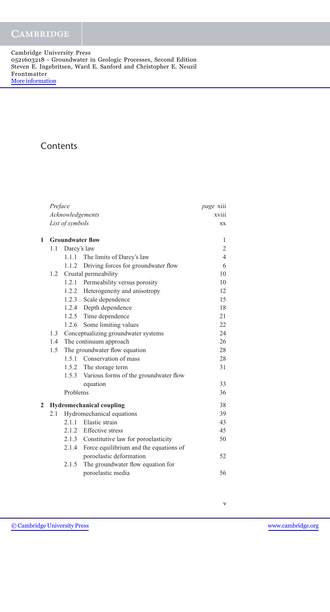## **Contents**

|   | Preface          | <i>page</i> xiii |                                             |                |  |  |  |
|---|------------------|------------------|---------------------------------------------|----------------|--|--|--|
|   | Acknowledgements | xviii            |                                             |                |  |  |  |
|   |                  | List of symbols  |                                             |                |  |  |  |
| 1 |                  |                  | <b>Groundwater flow</b>                     | 1              |  |  |  |
|   | 1.1              | Darcy's law      |                                             | $\overline{c}$ |  |  |  |
|   |                  | 1.1.1            | The limits of Darcy's law                   | $\overline{4}$ |  |  |  |
|   |                  |                  | 1.1.2 Driving forces for groundwater flow   | 6              |  |  |  |
|   | 1.2              |                  | Crustal permeability                        | 10             |  |  |  |
|   |                  |                  | 1.2.1 Permeability versus porosity          | 10             |  |  |  |
|   |                  |                  | 1.2.2 Heterogeneity and anisotropy          | 12             |  |  |  |
|   |                  |                  | 1.2.3 Scale dependence                      | 15             |  |  |  |
|   |                  |                  | 1.2.4 Depth dependence                      | 18             |  |  |  |
|   |                  |                  | 1.2.5 Time dependence                       | 21             |  |  |  |
|   |                  |                  | 1.2.6 Some limiting values                  | 22             |  |  |  |
|   | 1.3              |                  | Conceptualizing groundwater systems         | 24             |  |  |  |
|   | 1.4              |                  | The continuum approach                      | 26             |  |  |  |
|   | 1.5              |                  | The groundwater flow equation               | 28             |  |  |  |
|   |                  | 1.5.1            | Conservation of mass                        | 28             |  |  |  |
|   |                  |                  | 1.5.2 The storage term                      | 31             |  |  |  |
|   |                  |                  | 1.5.3 Various forms of the groundwater flow |                |  |  |  |
|   |                  |                  | equation                                    | 33             |  |  |  |
|   |                  | Problems         |                                             | 36             |  |  |  |
| 2 |                  |                  | <b>Hydromechanical coupling</b>             | 38             |  |  |  |
|   | 2.1              |                  | Hydromechanical equations                   | 39             |  |  |  |
|   |                  |                  | 2.1.1 Elastic strain                        | 43             |  |  |  |
|   |                  |                  | 2.1.2 Effective stress                      | 45             |  |  |  |
|   |                  |                  | 2.1.3 Constitutive law for poroelasticity   | 50             |  |  |  |
|   |                  | 2.1.4            | Force equilibrium and the equations of      |                |  |  |  |
|   |                  |                  | poroelastic deformation                     | 52             |  |  |  |
|   |                  | 2.1.5            | The groundwater flow equation for           |                |  |  |  |
|   |                  |                  | poroelastic media                           | 56             |  |  |  |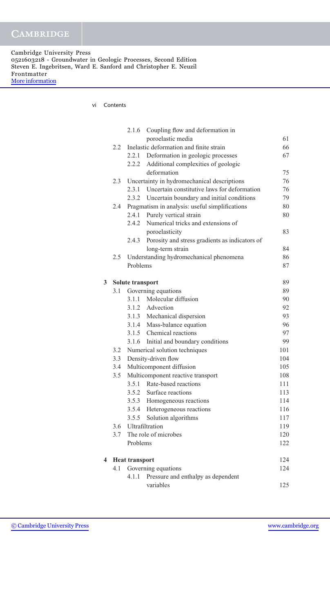| Cambridge University Press                                       |
|------------------------------------------------------------------|
| 0521603218 - Groundwater in Geologic Processes, Second Edition   |
| Steven E. Ingebritsen, Ward E. Sanford and Christopher E. Neuzil |
| Frontmatter                                                      |
| More information                                                 |

vi Contents

|   |     | 2.1.6                 | Coupling flow and deformation in                  |     |
|---|-----|-----------------------|---------------------------------------------------|-----|
|   |     |                       | poroelastic media                                 | 61  |
|   | 2.2 |                       | Inelastic deformation and finite strain           | 66  |
|   |     | 2.2.1                 | Deformation in geologic processes                 | 67  |
|   |     | 2.2.2                 | Additional complexities of geologic               |     |
|   |     |                       | deformation                                       | 75  |
|   | 2.3 |                       | Uncertainty in hydromechanical descriptions       | 76  |
|   |     |                       | 2.3.1 Uncertain constitutive laws for deformation | 76  |
|   |     |                       | 2.3.2 Uncertain boundary and initial conditions   | 79  |
|   | 2.4 |                       | Pragmatism in analysis: useful simplifications    | 80  |
|   |     | 2.4.1                 | Purely vertical strain                            | 80  |
|   |     | 2.4.2                 | Numerical tricks and extensions of                |     |
|   |     |                       | poroelasticity                                    | 83  |
|   |     | 2.4.3                 | Porosity and stress gradients as indicators of    |     |
|   |     |                       | long-term strain                                  | 84  |
|   | 2.5 |                       | Understanding hydromechanical phenomena           | 86  |
|   |     | Problems              |                                                   | 87  |
| 3 |     | Solute transport      |                                                   | 89  |
|   | 3.1 |                       | Governing equations                               | 89  |
|   |     |                       | 3.1.1 Molecular diffusion                         | 90  |
|   |     |                       | 3.1.2 Advection                                   | 92  |
|   |     |                       | 3.1.3 Mechanical dispersion                       | 93  |
|   |     |                       | 3.1.4 Mass-balance equation                       | 96  |
|   |     |                       | 3.1.5 Chemical reactions                          | 97  |
|   |     |                       | 3.1.6 Initial and boundary conditions             | 99  |
|   | 3.2 |                       | Numerical solution techniques                     | 101 |
|   | 3.3 |                       | Density-driven flow                               | 104 |
|   | 3.4 |                       | Multicomponent diffusion                          | 105 |
|   | 3.5 |                       | Multicomponent reactive transport                 | 108 |
|   |     | 3.5.1                 | Rate-based reactions                              | 111 |
|   |     |                       | 3.5.2 Surface reactions                           | 113 |
|   |     |                       | 3.5.3 Homogeneous reactions                       | 114 |
|   |     |                       | 3.5.4 Heterogeneous reactions                     | 116 |
|   |     |                       | 3.5.5 Solution algorithms                         | 117 |
|   | 3.6 |                       | Ultrafiltration                                   | 119 |
|   | 3.7 |                       | The role of microbes                              | 120 |
|   |     | Problems              |                                                   | 122 |
| 4 |     | <b>Heat transport</b> |                                                   | 124 |
|   | 4.1 |                       | Governing equations                               | 124 |
|   |     | 4.1.1                 | Pressure and enthalpy as dependent                |     |
|   |     |                       | variables                                         | 125 |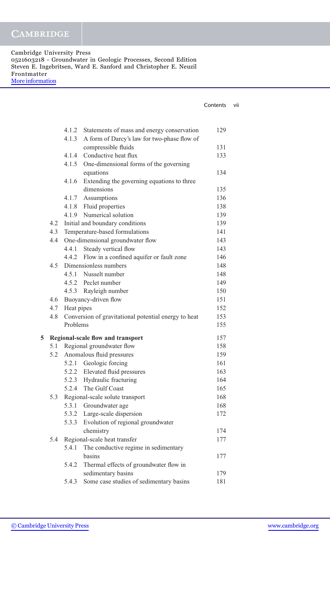| Cambridge University Press                                       |
|------------------------------------------------------------------|
| 0521603218 - Groundwater in Geologic Processes, Second Edition   |
| Steven E. Ingebritsen, Ward E. Sanford and Christopher E. Neuzil |
| Frontmatter                                                      |
| More information                                                 |

|   |     |                |                                                      | Contents | vii |
|---|-----|----------------|------------------------------------------------------|----------|-----|
|   |     |                |                                                      |          |     |
|   |     | 4.1.2          | Statements of mass and energy conservation           | 129      |     |
|   |     | 4.1.3          | A form of Darcy's law for two-phase flow of          |          |     |
|   |     |                | compressible fluids                                  | 131      |     |
|   |     | 4.1.4          | Conductive heat flux                                 | 133      |     |
|   |     | 4.1.5          | One-dimensional forms of the governing               |          |     |
|   |     |                | equations                                            | 134      |     |
|   |     | 4.1.6          | Extending the governing equations to three           |          |     |
|   |     |                | dimensions                                           | 135      |     |
|   |     |                | 4.1.7 Assumptions                                    | 136      |     |
|   |     |                | 4.1.8 Fluid properties                               | 138      |     |
|   |     |                | 4.1.9 Numerical solution                             | 139      |     |
|   | 4.2 |                | Initial and boundary conditions                      | 139      |     |
|   | 4.3 |                | Temperature-based formulations                       | 141      |     |
|   | 4.4 |                | One-dimensional groundwater flow                     | 143      |     |
|   |     |                | 4.4.1 Steady vertical flow                           | 143      |     |
|   |     |                | 4.4.2 Flow in a confined aquifer or fault zone       | 146      |     |
|   | 4.5 |                | Dimensionless numbers                                | 148      |     |
|   |     |                | 4.5.1 Nusselt number                                 | 148      |     |
|   |     |                | 4.5.2 Peclet number                                  | 149      |     |
|   |     |                | 4.5.3 Rayleigh number                                | 150      |     |
|   |     |                | 4.6 Buoyancy-driven flow                             | 151      |     |
|   |     | 4.7 Heat pipes |                                                      | 152      |     |
|   | 4.8 |                | Conversion of gravitational potential energy to heat | 153      |     |
|   |     | Problems       |                                                      | 155      |     |
| 5 |     |                | Regional-scale flow and transport                    | 157      |     |
|   |     |                | 5.1 Regional groundwater flow                        | 158      |     |
|   |     |                | 5.2 Anomalous fluid pressures                        | 159      |     |
|   |     |                | 5.2.1 Geologic forcing                               | 161      |     |
|   |     |                | 5.2.2 Elevated fluid pressures                       | 163      |     |
|   |     |                | 5.2.3 Hydraulic fracturing                           | 164      |     |
|   |     |                | 5.2.4 The Gulf Coast                                 | 165      |     |
|   | 5.3 |                | Regional-scale solute transport                      | 168      |     |
|   |     | 5.3.1          | Groundwater age                                      | 168      |     |
|   |     |                | 5.3.2 Large-scale dispersion                         | 172      |     |
|   |     | 5.3.3          | Evolution of regional groundwater                    |          |     |
|   |     |                | chemistry                                            | 174      |     |
|   | 5.4 |                | Regional-scale heat transfer                         | 177      |     |
|   |     | 5.4.1          | The conductive regime in sedimentary                 |          |     |
|   |     |                | basins                                               | 177      |     |
|   |     | 5.4.2          | Thermal effects of groundwater flow in               |          |     |
|   |     |                | sedimentary basins                                   | 179      |     |
|   |     | 5.4.3          | Some case studies of sedimentary basins              | 181      |     |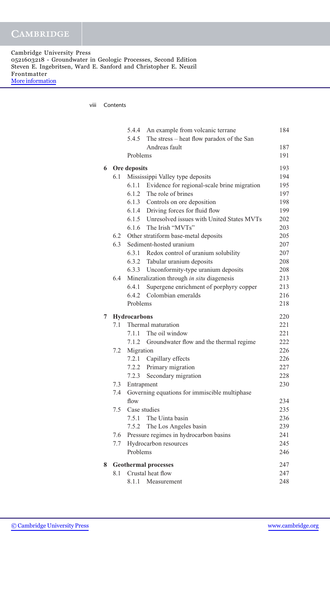viii Contents

|   |     | 5.4.4        | An example from volcanic terrane                | 184 |
|---|-----|--------------|-------------------------------------------------|-----|
|   |     | 5.4.5        | The stress – heat flow paradox of the San       |     |
|   |     |              | Andreas fault                                   | 187 |
|   |     | Problems     |                                                 | 191 |
| 6 |     | Ore deposits |                                                 | 193 |
|   | 6.1 |              | Mississippi Valley type deposits                | 194 |
|   |     | 6.1.1        | Evidence for regional-scale brine migration     | 195 |
|   |     | 6.1.2        | The role of brines                              | 197 |
|   |     |              | 6.1.3 Controls on ore deposition                | 198 |
|   |     |              | 6.1.4 Driving forces for fluid flow             | 199 |
|   |     |              | 6.1.5 Unresolved issues with United States MVTs | 202 |
|   |     |              | 6.1.6 The Irish "MVTs"                          | 203 |
|   |     |              | 6.2 Other stratiform base-metal deposits        | 205 |
|   | 6.3 |              | Sediment-hosted uranium                         | 207 |
|   |     |              | 6.3.1 Redox control of uranium solubility       | 207 |
|   |     |              | 6.3.2 Tabular uranium deposits                  | 208 |
|   |     |              | 6.3.3 Unconformity-type uranium deposits        | 208 |
|   | 6.4 |              | Mineralization through in situ diagenesis       | 213 |
|   |     | 6.4.1        | Supergene enrichment of porphyry copper         | 213 |
|   |     | 6.4.2        | Colombian emeralds                              | 216 |
|   |     | Problems     |                                                 | 218 |
| 7 |     | Hydrocarbons |                                                 | 220 |
|   | 7.1 |              | Thermal maturation                              | 221 |
|   |     | 7.1.1        | The oil window                                  | 221 |
|   |     | 7.1.2        | Groundwater flow and the thermal regime         | 222 |
|   | 7.2 | Migration    |                                                 | 226 |
|   |     |              | 7.2.1 Capillary effects                         | 226 |
|   |     |              | 7.2.2 Primary migration                         | 227 |
|   |     | 7.2.3        | Secondary migration                             | 228 |
|   | 7.3 | Entrapment   |                                                 | 230 |
|   | 7.4 |              | Governing equations for immiscible multiphase   |     |
|   |     | flow         |                                                 | 234 |
|   | 7.5 |              | Case studies                                    | 235 |
|   |     |              | 7.5.1 The Uinta basin                           | 236 |
|   |     | 7.5.2        | The Los Angeles basin                           | 239 |
|   | 7.6 |              | Pressure regimes in hydrocarbon basins          | 241 |
|   | 7.7 |              | Hydrocarbon resources                           | 245 |
|   |     | Problems     |                                                 | 246 |
| 8 |     |              | <b>Geothermal processes</b>                     | 247 |
|   | 8.1 |              | Crustal heat flow                               | 247 |
|   |     | 8.1.1        | Measurement                                     | 248 |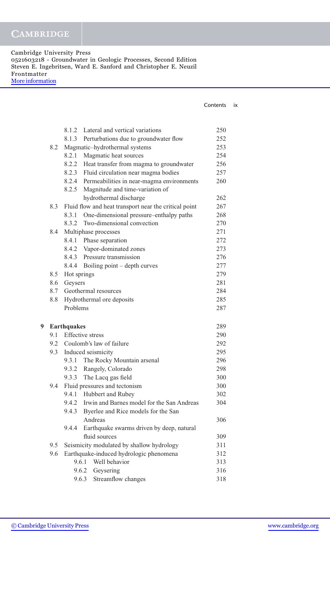Cambridge University Press 0521603218 - Groundwater in Geologic Processes, Second Edition Steven E. Ingebritsen, Ward E. Sanford and Christopher E. Neuzil Frontmatter [More information](http://www.cambridge.org/0521603218)

| Contents | IX |
|----------|----|
|          |    |

|   |                                  | 8.1.2              | Lateral and vertical variations                       | 250 |
|---|----------------------------------|--------------------|-------------------------------------------------------|-----|
|   |                                  |                    | 8.1.3 Perturbations due to groundwater flow           | 252 |
|   | 8.2                              |                    | Magmatic-hydrothermal systems                         | 253 |
|   |                                  | 8.2.1              | Magmatic heat sources                                 | 254 |
|   |                                  |                    | 8.2.2 Heat transfer from magma to groundwater         | 256 |
|   |                                  |                    | 8.2.3 Fluid circulation near magma bodies             | 257 |
|   |                                  |                    | 8.2.4 Permeabilities in near-magma environments       | 260 |
|   |                                  | 8.2.5              | Magnitude and time-variation of                       |     |
|   |                                  |                    | hydrothermal discharge                                | 262 |
|   | 8.3                              |                    | Fluid flow and heat transport near the critical point | 267 |
|   |                                  | 8.3.1              | One-dimensional pressure-enthalpy paths               | 268 |
|   |                                  | 8.3.2              | Two-dimensional convection                            | 270 |
|   | 8.4                              |                    | Multiphase processes                                  | 271 |
|   |                                  |                    | 8.4.1 Phase separation                                | 272 |
|   |                                  |                    | 8.4.2 Vapor-dominated zones                           | 273 |
|   |                                  |                    | 8.4.3 Pressure transmission                           | 276 |
|   |                                  | 8.4.4              | Boiling point – depth curves                          | 277 |
|   | 8.5                              | Hot springs        |                                                       | 279 |
|   | 8.6                              | Geysers            |                                                       | 281 |
|   | Geothermal resources<br>8.7      |                    | 284                                                   |     |
|   | 8.8<br>Hydrothermal ore deposits |                    | 285                                                   |     |
|   |                                  | Problems           |                                                       | 287 |
| 9 |                                  | <b>Earthquakes</b> |                                                       | 289 |
|   | 9.1                              |                    | <b>Effective</b> stress                               | 290 |
|   |                                  |                    | 9.2 Coulomb's law of failure                          | 292 |
|   | 9.3                              |                    | Induced seismicity                                    | 295 |
|   |                                  | 9.3.1              | The Rocky Mountain arsenal                            | 296 |
|   |                                  | 9.3.2              | Rangely, Colorado                                     | 298 |
|   |                                  | 9.3.3              | The Lacq gas field                                    | 300 |
|   | 9.4                              |                    | Fluid pressures and tectonism                         | 300 |
|   |                                  |                    | 9.4.1 Hubbert and Rubey                               | 302 |
|   |                                  |                    | 9.4.2 Irwin and Barnes model for the San Andreas      | 304 |
|   |                                  | 9.4.3              | Byerlee and Rice models for the San                   |     |
|   |                                  |                    | Andreas                                               | 306 |
|   |                                  | 9.4.4              | Earthquake swarms driven by deep, natural             |     |
|   |                                  |                    | fluid sources                                         | 309 |
|   | 9.5                              |                    | Seismicity modulated by shallow hydrology             | 311 |
|   | 9.6                              |                    | Earthquake-induced hydrologic phenomena               | 312 |
|   |                                  | 9.6.1              | Well behavior                                         | 313 |
|   |                                  |                    | 9.6.2<br>Geysering                                    | 316 |
|   |                                  |                    | Streamflow changes<br>9.6.3                           | 318 |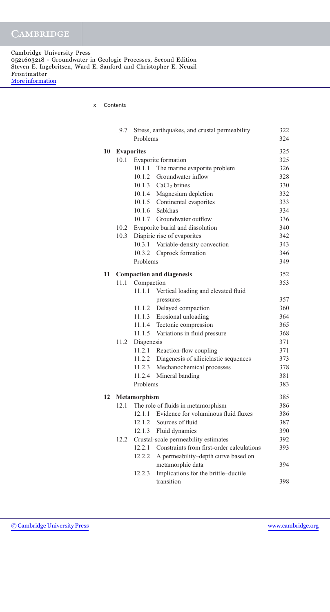x Contents

|    | 9.7  |                     | Stress, earthquakes, and crustal permeability | 322 |
|----|------|---------------------|-----------------------------------------------|-----|
|    |      | Problems            |                                               | 324 |
| 10 |      | <b>Evaporites</b>   |                                               | 325 |
|    | 10.1 |                     | Evaporite formation                           | 325 |
|    |      | 10.1.1              | The marine evaporite problem                  | 326 |
|    |      | 10.1.2              | Groundwater inflow                            | 328 |
|    |      |                     | 10.1.3 CaCl <sub>2</sub> brines               | 330 |
|    |      |                     | 10.1.4 Magnesium depletion                    | 332 |
|    |      |                     | 10.1.5 Continental evaporites                 | 333 |
|    |      |                     | 10.1.6 Sabkhas                                | 334 |
|    |      |                     | 10.1.7 Groundwater outflow                    | 336 |
|    | 10.2 |                     | Evaporite burial and dissolution              | 340 |
|    | 10.3 |                     | Diapiric rise of evaporites                   | 342 |
|    |      | 10.3.1              | Variable-density convection                   | 343 |
|    |      |                     | 10.3.2 Caprock formation                      | 346 |
|    |      | Problems            |                                               | 349 |
| 11 |      |                     |                                               | 352 |
|    | 11.1 | Compaction          | <b>Compaction and diagenesis</b>              | 353 |
|    |      | 11.1.1              | Vertical loading and elevated fluid           |     |
|    |      |                     | pressures                                     | 357 |
|    |      |                     | 11.1.2 Delayed compaction                     | 360 |
|    |      |                     | 11.1.3 Erosional unloading                    | 364 |
|    |      |                     | 11.1.4 Tectonic compression                   | 365 |
|    |      |                     | 11.1.5 Variations in fluid pressure           | 368 |
|    | 11.2 | Diagenesis          |                                               | 371 |
|    |      |                     | 11.2.1 Reaction-flow coupling                 | 371 |
|    |      | 11.2.2              | Diagenesis of siliciclastic sequences         | 373 |
|    |      |                     | 11.2.3 Mechanochemical processes              | 378 |
|    |      | 11.2.4              | Mineral banding                               | 381 |
|    |      | Problems            |                                               | 383 |
|    |      |                     |                                               | 385 |
| 12 | 12.1 | <b>Metamorphism</b> | The role of fluids in metamorphism            | 386 |
|    |      |                     | 12.1.1 Evidence for voluminous fluid fluxes   | 386 |
|    |      | 12.1.2              | Sources of fluid                              | 387 |
|    |      | 12.1.3              | Fluid dynamics                                | 390 |
|    | 12.2 |                     | Crustal-scale permeability estimates          | 392 |
|    |      | 12.2.1              | Constraints from first-order calculations     | 393 |
|    |      | 12.2.2              | A permeability-depth curve based on           |     |
|    |      |                     | metamorphic data                              | 394 |
|    |      | 12.2.3              | Implications for the brittle-ductile          |     |
|    |      |                     | transition                                    | 398 |
|    |      |                     |                                               |     |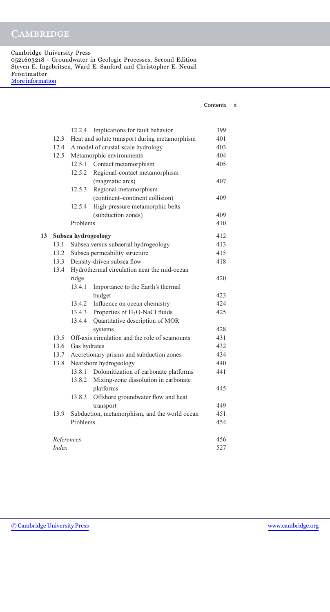Cambridge University Press 0521603218 - Groundwater in Geologic Processes, Second Edition Steven E. Ingebritsen, Ward E. Sanford and Christopher E. Neuzil Frontmatter [More information](http://www.cambridge.org/0521603218)

| Contents | ΧI |
|----------|----|
|          |    |

|    |              | 12.2.4                                      | Implications for fault behavior                | 399 |
|----|--------------|---------------------------------------------|------------------------------------------------|-----|
|    | 12.3         |                                             | Heat and solute transport during metamorphism  | 401 |
|    | 12.4         |                                             | A model of crustal-scale hydrology             | 403 |
|    | 12.5         |                                             | Metamorphic environments                       | 404 |
|    |              |                                             | 12.5.1 Contact metamorphism                    | 405 |
|    |              | 12.5.2                                      | Regional-contact metamorphism                  |     |
|    |              |                                             | (magmatic arcs)                                | 407 |
|    |              | 12.5.3                                      | Regional metamorphism                          |     |
|    |              |                                             | (continent-continent collision)                | 409 |
|    |              | 12.5.4                                      | High-pressure metamorphic belts                |     |
|    |              |                                             | (subduction zones)                             | 409 |
|    |              | Problems                                    |                                                | 410 |
| 13 |              | Subsea hydrogeology                         |                                                | 412 |
|    | 13.1         |                                             | Subsea versus subaerial hydrogeology           | 413 |
|    | 13.2         |                                             | Subsea permeability structure                  | 415 |
|    | 13.3         |                                             | Density-driven subsea flow                     | 418 |
|    | 13.4         | Hydrothermal circulation near the mid-ocean |                                                |     |
|    |              | ridge                                       |                                                | 420 |
|    |              | 13.4.1                                      | Importance to the Earth's thermal              |     |
|    |              |                                             | budget                                         | 423 |
|    |              | 13.4.2                                      | Influence on ocean chemistry                   | 424 |
|    |              | 13.4.3                                      | Properties of H <sub>2</sub> O-NaCl fluids     | 425 |
|    |              | 13.4.4                                      | Quantitative description of MOR                |     |
|    |              |                                             | systems                                        | 428 |
|    | 13.5         |                                             | Off-axis circulation and the role of seamounts | 431 |
|    | 13.6         | Gas hydrates                                |                                                | 432 |
|    | 13.7         |                                             | Accretionary prisms and subduction zones       | 434 |
|    | 13.8         |                                             | Nearshore hydrogeology                         | 440 |
|    |              | 13.8.1                                      | Dolomitization of carbonate platforms          | 441 |
|    |              | 13.8.2                                      | Mixing-zone dissolution in carbonate           |     |
|    |              |                                             | platforms                                      | 445 |
|    |              | 13.8.3                                      | Offshore groundwater flow and heat             |     |
|    |              |                                             | transport                                      | 449 |
|    | 13.9         |                                             | Subduction, metamorphism, and the world ocean  | 451 |
|    |              | Problems                                    |                                                | 454 |
|    | References   |                                             |                                                | 456 |
|    | <b>Index</b> |                                             |                                                | 527 |
|    |              |                                             |                                                |     |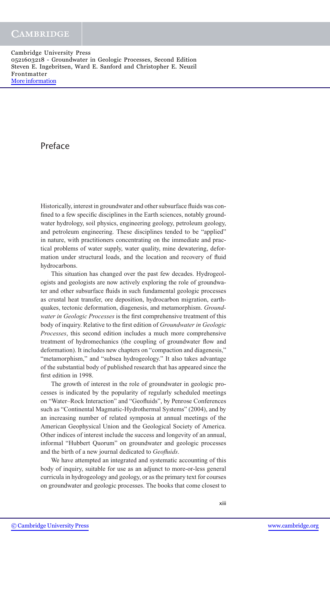## Preface

Historically, interest in groundwater and other subsurface fluids was confined to a few specific disciplines in the Earth sciences, notably groundwater hydrology, soil physics, engineering geology, petroleum geology, and petroleum engineering. These disciplines tended to be "applied" in nature, with practitioners concentrating on the immediate and practical problems of water supply, water quality, mine dewatering, deformation under structural loads, and the location and recovery of fluid hydrocarbons.

This situation has changed over the past few decades. Hydrogeologists and geologists are now actively exploring the role of groundwater and other subsurface fluids in such fundamental geologic processes as crustal heat transfer, ore deposition, hydrocarbon migration, earthquakes, tectonic deformation, diagenesis, and metamorphism. *Groundwater in Geologic Processes* is the first comprehensive treatment of this body of inquiry. Relative to the first edition of *Groundwater in Geologic Processes*, this second edition includes a much more comprehensive treatment of hydromechanics (the coupling of groundwater flow and deformation). It includes new chapters on "compaction and diagenesis," "metamorphism," and "subsea hydrogeology." It also takes advantage of the substantial body of published research that has appeared since the first edition in 1998.

The growth of interest in the role of groundwater in geologic processes is indicated by the popularity of regularly scheduled meetings on "Water–Rock Interaction" and "Geofluids", by Penrose Conferences such as "Continental Magmatic-Hydrothermal Systems" (2004), and by an increasing number of related symposia at annual meetings of the American Geophysical Union and the Geological Society of America. Other indices of interest include the success and longevity of an annual, informal "Hubbert Quorum" on groundwater and geologic processes and the birth of a new journal dedicated to *Geofluids*.

We have attempted an integrated and systematic accounting of this body of inquiry, suitable for use as an adjunct to more-or-less general curricula in hydrogeology and geology, or as the primary text for courses on groundwater and geologic processes. The books that come closest to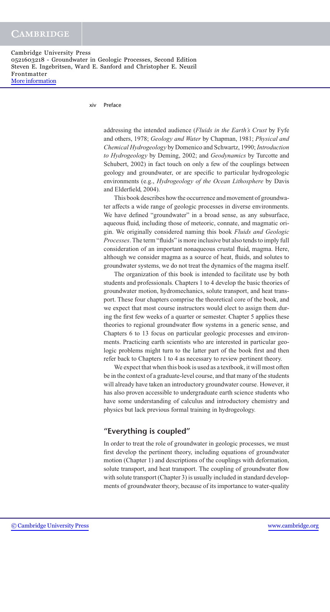Cambridge University Press 0521603218 - Groundwater in Geologic Processes, Second Edition Steven E. Ingebritsen, Ward E. Sanford and Christopher E. Neuzil Frontmatter [More information](http://www.cambridge.org/0521603218)

xiv Preface

addressing the intended audience (*Fluids in the Earth's Crust* by Fyfe and others, 1978; *Geology and Water* by Chapman, 1981; *Physical and Chemical Hydrogeology* by Domenico and Schwartz, 1990; *Introduction to Hydrogeology* by Deming, 2002; and *Geodynamics* by Turcotte and Schubert, 2002) in fact touch on only a few of the couplings between geology and groundwater, or are specific to particular hydrogeologic environments (e.g., *Hydrogeology of the Ocean Lithosphere* by Davis and Elderfield, 2004).

This book describes how the occurrence and movement of groundwater affects a wide range of geologic processes in diverse environments. We have defined "groundwater" in a broad sense, as any subsurface, aqueous fluid, including those of meteoric, connate, and magmatic origin. We originally considered naming this book *Fluids and Geologic Processes*. The term "fluids" is more inclusive but also tends to imply full consideration of an important nonaqueous crustal fluid, magma. Here, although we consider magma as a source of heat, fluids, and solutes to groundwater systems, we do not treat the dynamics of the magma itself.

The organization of this book is intended to facilitate use by both students and professionals. Chapters 1 to 4 develop the basic theories of groundwater motion, hydromechanics, solute transport, and heat transport. These four chapters comprise the theoretical core of the book, and we expect that most course instructors would elect to assign them during the first few weeks of a quarter or semester. Chapter 5 applies these theories to regional groundwater flow systems in a generic sense, and Chapters 6 to 13 focus on particular geologic processes and environments. Practicing earth scientists who are interested in particular geologic problems might turn to the latter part of the book first and then refer back to Chapters 1 to 4 as necessary to review pertinent theory.

We expect that when this book is used as a textbook, it will most often be in the context of a graduate-level course, and that many of the students will already have taken an introductory groundwater course. However, it has also proven accessible to undergraduate earth science students who have some understanding of calculus and introductory chemistry and physics but lack previous formal training in hydrogeology.

#### **"Everything is coupled"**

In order to treat the role of groundwater in geologic processes, we must first develop the pertinent theory, including equations of groundwater motion (Chapter 1) and descriptions of the couplings with deformation, solute transport, and heat transport. The coupling of groundwater flow with solute transport (Chapter 3) is usually included in standard developments of groundwater theory, because of its importance to water-quality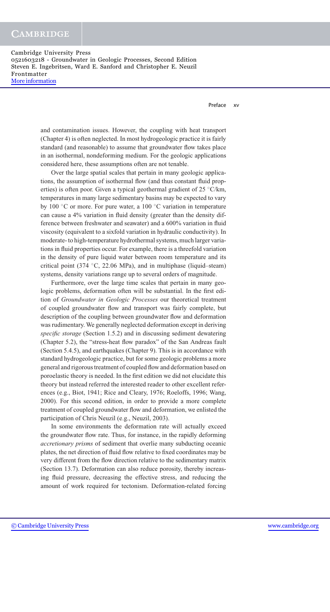Preface xv

and contamination issues. However, the coupling with heat transport (Chapter 4) is often neglected. In most hydrogeologic practice it is fairly standard (and reasonable) to assume that groundwater flow takes place in an isothermal, nondeforming medium. For the geologic applications considered here, these assumptions often are not tenable.

Over the large spatial scales that pertain in many geologic applications, the assumption of isothermal flow (and thus constant fluid properties) is often poor. Given a typical geothermal gradient of  $25 \text{ °C/km}$ , temperatures in many large sedimentary basins may be expected to vary by 100  $\degree$ C or more. For pure water, a 100  $\degree$ C variation in temperature can cause a 4% variation in fluid density (greater than the density difference between freshwater and seawater) and a 600% variation in fluid viscosity (equivalent to a sixfold variation in hydraulic conductivity). In moderate- to high-temperature hydrothermal systems, much larger variations in fluid properties occur. For example, there is a threefold variation in the density of pure liquid water between room temperature and its critical point (374  $°C$ , 22.06 MPa), and in multiphase (liquid–steam) systems, density variations range up to several orders of magnitude.

Furthermore, over the large time scales that pertain in many geologic problems, deformation often will be substantial. In the first edition of *Groundwater in Geologic Processes* our theoretical treatment of coupled groundwater flow and transport was fairly complete, but description of the coupling between groundwater flow and deformation was rudimentary. We generally neglected deformation except in deriving *specific storage* (Section 1.5.2) and in discussing sediment dewatering (Chapter 5.2), the "stress-heat flow paradox" of the San Andreas fault (Section 5.4.5), and earthquakes (Chapter 9). This is in accordance with standard hydrogeologic practice, but for some geologic problems a more general and rigorous treatment of coupled flow and deformation based on poroelastic theory is needed. In the first edition we did not elucidate this theory but instead referred the interested reader to other excellent references (e.g., Biot, 1941; Rice and Cleary, 1976; Roeloffs, 1996; Wang, 2000). For this second edition, in order to provide a more complete treatment of coupled groundwater flow and deformation, we enlisted the participation of Chris Neuzil (e.g., Neuzil, 2003).

In some environments the deformation rate will actually exceed the groundwater flow rate. Thus, for instance, in the rapidly deforming *accretionary prisms* of sediment that overlie many subducting oceanic plates, the net direction of fluid flow relative to fixed coordinates may be very different from the flow direction relative to the sedimentary matrix (Section 13.7). Deformation can also reduce porosity, thereby increasing fluid pressure, decreasing the effective stress, and reducing the amount of work required for tectonism. Deformation-related forcing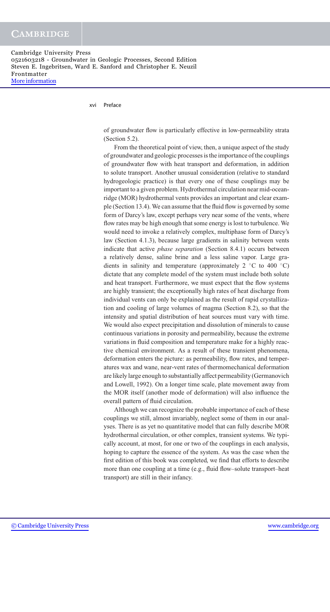xvi Preface

of groundwater flow is particularly effective in low-permeability strata (Section 5.2).

From the theoretical point of view, then, a unique aspect of the study of groundwater and geologic processes is the importance of the couplings of groundwater flow with heat transport and deformation, in addition to solute transport. Another unusual consideration (relative to standard hydrogeologic practice) is that every one of these couplings may be important to a given problem. Hydrothermal circulation near mid-oceanridge (MOR) hydrothermal vents provides an important and clear example (Section 13.4). We can assume that the fluid flow is governed by some form of Darcy's law, except perhaps very near some of the vents, where flow rates may be high enough that some energy is lost to turbulence. We would need to invoke a relatively complex, multiphase form of Darcy's law (Section 4.1.3), because large gradients in salinity between vents indicate that active *phase separation* (Section 8.4.1) occurs between a relatively dense, saline brine and a less saline vapor. Large gradients in salinity and temperature (approximately 2  $°C$  to 400  $°C$ ) dictate that any complete model of the system must include both solute and heat transport. Furthermore, we must expect that the flow systems are highly transient; the exceptionally high rates of heat discharge from individual vents can only be explained as the result of rapid crystallization and cooling of large volumes of magma (Section 8.2), so that the intensity and spatial distribution of heat sources must vary with time. We would also expect precipitation and dissolution of minerals to cause continuous variations in porosity and permeability, because the extreme variations in fluid composition and temperature make for a highly reactive chemical environment. As a result of these transient phenomena, deformation enters the picture: as permeability, flow rates, and temperatures wax and wane, near-vent rates of thermomechanical deformation are likely large enough to substantially affect permeability (Germanovich and Lowell, 1992). On a longer time scale, plate movement away from the MOR itself (another mode of deformation) will also influence the overall pattern of fluid circulation.

Although we can recognize the probable importance of each of these couplings we still, almost invariably, neglect some of them in our analyses. There is as yet no quantitative model that can fully describe MOR hydrothermal circulation, or other complex, transient systems. We typically account, at most, for one or two of the couplings in each analysis, hoping to capture the essence of the system. As was the case when the first edition of this book was completed, we find that efforts to describe more than one coupling at a time (e.g., fluid flow–solute transport–heat transport) are still in their infancy.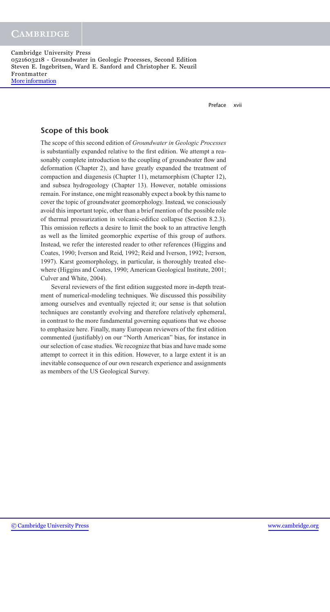Preface xvii

#### **Scope of this book**

The scope of this second edition of *Groundwater in Geologic Processes* is substantially expanded relative to the first edition. We attempt a reasonably complete introduction to the coupling of groundwater flow and deformation (Chapter 2), and have greatly expanded the treatment of compaction and diagenesis (Chapter 11), metamorphism (Chapter 12), and subsea hydrogeology (Chapter 13). However, notable omissions remain. For instance, one might reasonably expect a book by this name to cover the topic of groundwater geomorphology. Instead, we consciously avoid this important topic, other than a brief mention of the possible role of thermal pressurization in volcanic-edifice collapse (Section 8.2.3). This omission reflects a desire to limit the book to an attractive length as well as the limited geomorphic expertise of this group of authors. Instead, we refer the interested reader to other references (Higgins and Coates, 1990; Iverson and Reid, 1992; Reid and Iverson, 1992; Iverson, 1997). Karst geomorphology, in particular, is thoroughly treated elsewhere (Higgins and Coates, 1990; American Geological Institute, 2001; Culver and White, 2004).

Several reviewers of the first edition suggested more in-depth treatment of numerical-modeling techniques. We discussed this possibility among ourselves and eventually rejected it; our sense is that solution techniques are constantly evolving and therefore relatively ephemeral, in contrast to the more fundamental governing equations that we choose to emphasize here. Finally, many European reviewers of the first edition commented (justifiably) on our "North American" bias, for instance in our selection of case studies. We recognize that bias and have made some attempt to correct it in this edition. However, to a large extent it is an inevitable consequence of our own research experience and assignments as members of the US Geological Survey.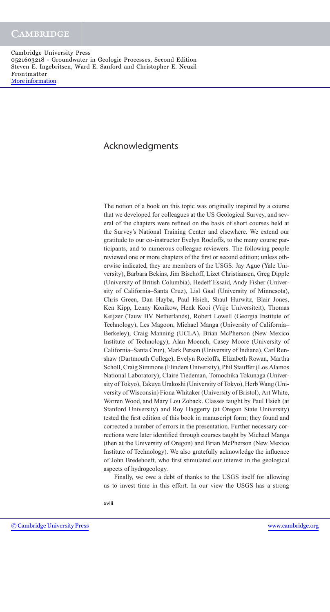## Acknowledgments

The notion of a book on this topic was originally inspired by a course that we developed for colleagues at the US Geological Survey, and several of the chapters were refined on the basis of short courses held at the Survey's National Training Center and elsewhere. We extend our gratitude to our co-instructor Evelyn Roeloffs, to the many course participants, and to numerous colleague reviewers. The following people reviewed one or more chapters of the first or second edition; unless otherwise indicated, they are members of the USGS: Jay Ague (Yale University), Barbara Bekins, Jim Bischoff, Lizet Christiansen, Greg Dipple (University of British Columbia), Hedeff Essaid, Andy Fisher (University of California–Santa Cruz), Lisl Gaal (University of Minnesota), Chris Green, Dan Hayba, Paul Hsieh, Shaul Hurwitz, Blair Jones, Ken Kipp, Lenny Konikow, Henk Kooi (Vrije Universiteit), Thomas Keijzer (Tauw BV Netherlands), Robert Lowell (Georgia Institute of Technology), Les Magoon, Michael Manga (University of California– Berkeley), Craig Manning (UCLA), Brian McPherson (New Mexico Institute of Technology), Alan Moench, Casey Moore (University of California–Santa Cruz), Mark Person (University of Indiana), Carl Renshaw (Dartmouth College), Evelyn Roeloffs, Elizabeth Rowan, Martha Scholl, Craig Simmons (Flinders University), Phil Stauffer (Los Alamos National Laboratory), Claire Tiedeman, Tomochika Tokunaga (University of Tokyo), Takuya Urakoshi (University of Tokyo), Herb Wang (University of Wisconsin) Fiona Whitaker (University of Bristol), Art White, Warren Wood, and Mary Lou Zoback. Classes taught by Paul Hsieh (at Stanford University) and Roy Haggerty (at Oregon State University) tested the first edition of this book in manuscript form; they found and corrected a number of errors in the presentation. Further necessary corrections were later identified through courses taught by Michael Manga (then at the University of Oregon) and Brian McPherson (New Mexico Institute of Technology). We also gratefully acknowledge the influence of John Bredehoeft, who first stimulated our interest in the geological aspects of hydrogeology.

Finally, we owe a debt of thanks to the USGS itself for allowing us to invest time in this effort. In our view the USGS has a strong

xviii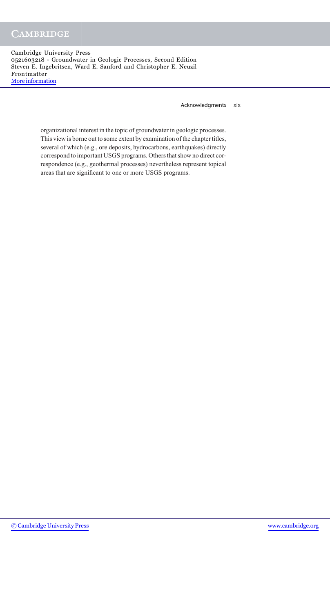Acknowledgments xix

organizational interest in the topic of groundwater in geologic processes. This view is borne out to some extent by examination of the chapter titles, several of which (e.g., ore deposits, hydrocarbons, earthquakes) directly correspond to important USGS programs. Others that show no direct correspondence (e.g., geothermal processes) nevertheless represent topical areas that are significant to one or more USGS programs.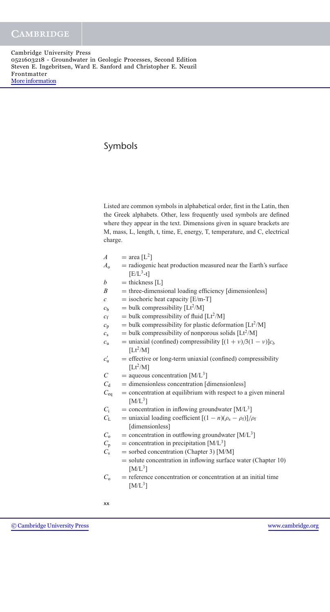## Symbols

Listed are common symbols in alphabetical order, first in the Latin, then the Greek alphabets. Other, less frequently used symbols are defined where they appear in the text. Dimensions given in square brackets are M, mass, L, length, t, time, E, energy, T, temperature, and C, electrical charge.

$$
A = \text{area } [L^2]
$$

- $A_0$  = radiogenic heat production measured near the Earth's surface  $[E/L^3-t]$
- $b =$  thickness [L]<br> $B =$  three-dimension-
- $B =$  three-dimensional loading efficiency [dimensionless]<br> $C =$  isochoric heat capacity  $[F/m-T]$
- $=$  isochoric heat capacity  $[E/m-T]$
- $c_{\rm b}$  = bulk compressibility [Lt<sup>2</sup>/M]
- $c_f$  = bulk compressibility of fluid [Lt<sup>2</sup>/M]
- $c_p$  = bulk compressibility for plastic deformation [Lt<sup>2</sup>/M]
- $c_s$  = bulk compressibility of nonporous solids  $[Lt^2/M]$
- $c<sub>u</sub>$  = uniaxial (confined) compressibility  $[(1 + v)/3(1 v)]c<sub>b</sub>$  $[Lt^2/M]$
- $c'_{\rm n}$  $=$  effective or long-term uniaxial (confined) compressibility  $[Lt^2/M]$
- $C = \text{aqueous concentration } [M/L^3]$ <br>  $C_d = \text{dimensionless concentration } [G]$
- $C_{\rm d}$  = dimensionless concentration [dimensionless]<br> $C_{\rm eq}$  = concentration at equilibrium with respect to a
	- $=$  concentration at equilibrium with respect to a given mineral  $[M/L^3]$
- $C_i$  = concentration in inflowing groundwater [M/L<sup>3</sup>]<br>  $C_L$  = uniaxial loading coefficient  $[(1 n)(\rho_s \rho_f)]/k$
- $=$  uniaxial loading coefficient  $[(1 n)(\rho_s \rho_f)]/\rho_f$ [dimensionless]
- $C_0$  = concentration in outflowing groundwater [M/L<sup>3</sup>]
- $C_p$  = concentration in precipitation [M/L<sup>3</sup>]<br>  $C_s$  = sorbed concentration (Chapter 3) [M/
	- $=$  sorbed concentration (Chapter 3) [M/M]
		- = solute concentration in inflowing surface water (Chapter 10)  $[M/L^3]$
- $C<sub>o</sub>$  = reference concentration or concentration at an initial time  $[M/L^3]$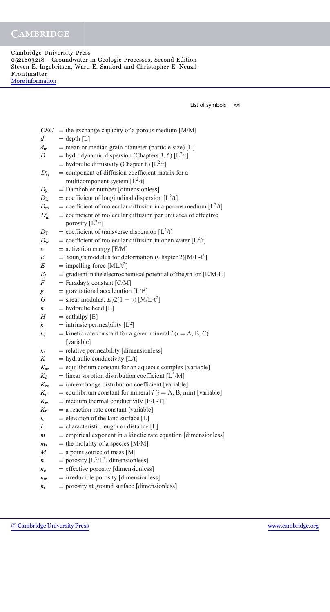List of symbols xxi

|                  | $CEC =$ the exchange capacity of a porous medium [M/M]                                |
|------------------|---------------------------------------------------------------------------------------|
| $\overline{d}$   | $=$ depth $[L]$                                                                       |
| $d_{\rm m}$      | $=$ mean or median grain diameter (particle size) [L]                                 |
| D                | = hydrodynamic dispersion (Chapters 3, 5) $[L^2/t]$                                   |
|                  | = hydraulic diffusivity (Chapter 8) $[L^2/t]$                                         |
| $D'_{ij}$        | = component of diffusion coefficient matrix for a                                     |
|                  | multicomponent system $[L^2/t]$                                                       |
| $D_{k}$          | = Damkohler number [dimensionless]                                                    |
| $D_{\rm L}$      | = coefficient of longitudinal dispersion $[L^2/t]$                                    |
| $D_{\rm m}$      | = coefficient of molecular diffusion in a porous medium $[L^2/t]$                     |
| $D'_{\rm m}$     | = coefficient of molecular diffusion per unit area of effective<br>porosity $[L^2/t]$ |
| $D_{\rm T}$      | = coefficient of transverse dispersion $[L^2/t]$                                      |
| $D_{\rm w}$      | = coefficient of molecular diffusion in open water $[L^2/t]$                          |
| $\epsilon$       | $=$ activation energy [E/M]                                                           |
| E                | = Young's modulus for deformation (Chapter 2)[M/L-t <sup>2</sup> ]                    |
| E                | = impelling force $[ML/t^2]$                                                          |
| $E_j$            | $=$ gradient in the electrochemical potential of the <i>j</i> th ion [E/M-L]          |
| $\,F$            | $=$ Faraday's constant [C/M]                                                          |
| g                | = gravitational acceleration $[L/t^2]$                                                |
| G                | = shear modulus, $E/2(1 - v)$ [M/L-t <sup>2</sup> ]                                   |
| $\boldsymbol{h}$ | $=$ hydraulic head [L]                                                                |
| H                | $=$ enthalpy [E]                                                                      |
| $\kappa$         | = intrinsic permeability $[L^2]$                                                      |
| $k_i$            | = kinetic rate constant for a given mineral $i$ ( $i$ = A, B, C)                      |
|                  | [variable]                                                                            |
| $k_{\rm r}$      | $=$ relative permeability [dimensionless]                                             |
| K                | $=$ hydraulic conductivity [L/t]                                                      |
| $K_{\rm ac}$     | = equilibrium constant for an aqueous complex [variable]                              |
| $K_{d}$          | = linear sorption distribution coefficient [ $L^3/M$ ]                                |
| $K_{\rm eq}$     | $=$ ion-exchange distribution coefficient [variable]                                  |
| $K_i$            | = equilibrium constant for mineral $i$ ( $i$ = A, B, min) [variable]                  |
| $K_{\rm m}$      | $=$ medium thermal conductivity [E/L-T]                                               |
| $K_{\rm r}$      | $=$ a reaction-rate constant [variable]                                               |
| $l_{\rm s}$      | $=$ elevation of the land surface [L]                                                 |
| L                | $=$ characteristic length or distance [L]                                             |
| $\boldsymbol{m}$ | = empirical exponent in a kinetic rate equation [dimensionless]                       |
| $m_{\rm s}$      | $=$ the molality of a species [M/M]                                                   |
| M                | $=$ a point source of mass [M]                                                        |
| n                | = porosity $[L^3/L^3]$ , dimensionless]                                               |
| $n_{\rm e}$      | $=$ effective porosity [dimensionless]                                                |
| $n_{ir}$         | $=$ irreducible porosity [dimensionless]                                              |
| $n_{\rm s}$      | = porosity at ground surface [dimensionless]                                          |
|                  |                                                                                       |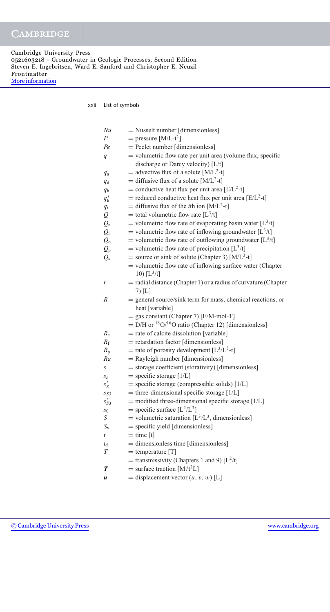Cambridge University Press 0521603218 - Groundwater in Geologic Processes, Second Edition Steven E. Ingebritsen, Ward E. Sanford and Christopher E. Neuzil Frontmatter [More information](http://www.cambridge.org/0521603218)

xxii List of symbols

| Nu              | $=$ Nusselt number [dimensionless]                                             |
|-----------------|--------------------------------------------------------------------------------|
| P               | = pressure $[M/L-t^2]$                                                         |
| Pe              | = Peclet number [dimensionless]                                                |
| q               | $=$ volumetric flow rate per unit area (volume flux, specific                  |
|                 | discharge or Darcy velocity) [L/t]                                             |
| $q_{\rm a}$     | = advective flux of a solute $[M/L^2-t]$                                       |
| $q_d$           | = diffusive flux of a solute $[M/L^2-t]$                                       |
| q <sub>h</sub>  | = conductive heat flux per unit area [E/L <sup>2</sup> -t]                     |
| $q_h^*$         | = reduced conductive heat flux per unit area [ $E/L^2$ -t]                     |
| $q_i$           | = diffusive flux of the <i>i</i> th ion [M/L <sup>2</sup> -t]                  |
| Q               | = total volumetric flow rate $[L^3/t]$                                         |
| $Q_{\rm e}$     | = volumetric flow rate of evaporating basin water $[L^3/t]$                    |
| $Q_i$           | = volumetric flow rate of inflowing groundwater $[L^3/t]$                      |
| $Q_{o}$         | = volumetric flow rate of outflowing groundwater $[L^3/t]$                     |
| $Q_{\rm p}$     | = volumetric flow rate of precipitation $[L^3/t]$                              |
| $Q_{\rm s}$     | = source or sink of solute (Chapter 3) $[M/L^3-t]$                             |
|                 | $=$ volumetric flow rate of inflowing surface water (Chapter                   |
|                 | 10) $[L^3/t]$                                                                  |
| r               | $=$ radial distance (Chapter 1) or a radius of curvature (Chapter              |
|                 | $7)$ [L]                                                                       |
| R               | = general source/sink term for mass, chemical reactions, or                    |
|                 | heat [variable]                                                                |
|                 | $=$ gas constant (Chapter 7) [E/M-mol-T]                                       |
|                 | $=$ D/H or <sup>18</sup> O/ <sup>16</sup> O ratio (Chapter 12) [dimensionless] |
| $R_{\rm c}$     | = rate of calcite dissolution [variable]                                       |
| $R_{\rm f}$     | $=$ retardation factor [dimensionless]                                         |
| $R_{\rm p}$     | = rate of porosity development $[L^3/L^3-t]$                                   |
| Ra              | = Rayleigh number [dimensionless]                                              |
| S               | = storage coefficient (storativity) [dimensionless]                            |
| $S_{S}$         | $=$ specific storage [1/L]                                                     |
| $s_S'$          | $=$ specific storage (compressible solids) [1/L]                               |
| S <sub>S3</sub> | $=$ three-dimensional specific storage [ $1/L$ ]                               |
| $s_{S3}'$       | $=$ modified three-dimensional specific storage [ $1/L$ ]                      |
| $s_0$           | = specific surface $[L^2/L^3]$                                                 |
| S               | = volumetric saturation $[L^3/L^3]$ , dimensionless]                           |
| $S_{\rm v}$     | $=$ specific yield [dimensionless]                                             |
| t               | $=$ time $[t]$                                                                 |
| $t_{\rm d}$     | = dimensionless time [dimensionless]                                           |
| Т               | $=$ temperature [T]                                                            |
|                 | = transmissivity (Chapters 1 and 9) $[L^2/t]$                                  |
| T               | = surface traction $[M/t^2L]$                                                  |
| u               | = displacement vector $(u, v, w)$ [L]                                          |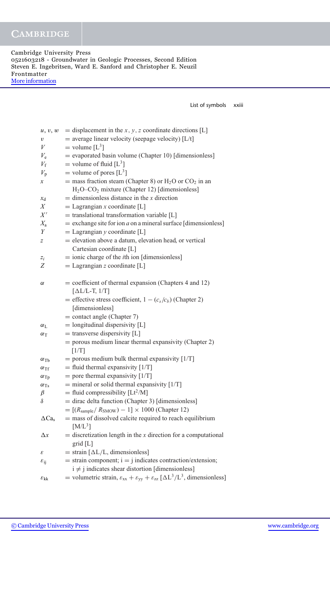Cambridge University Press 0521603218 - Groundwater in Geologic Processes, Second Edition Steven E. Ingebritsen, Ward E. Sanford and Christopher E. Neuzil Frontmatter [More information](http://www.cambridge.org/0521603218)

List of symbols xxiii

| u, v, w                   | = displacement in the x, y, z coordinate directions [L]                                                         |
|---------------------------|-----------------------------------------------------------------------------------------------------------------|
| υ                         | $=$ average linear velocity (seepage velocity) [L/t]                                                            |
| V                         | $=$ volume $[L^3]$                                                                                              |
| $V_{\rm e}$               | $=$ evaporated basin volume (Chapter 10) [dimensionless]                                                        |
| $V_{\rm f}$               | = volume of fluid $[L^3]$                                                                                       |
| $V_{\rm p}$               | = volume of pores $[L^3]$                                                                                       |
| х                         | = mass fraction steam (Chapter 8) or $H_2O$ or $CO_2$ in an                                                     |
|                           | $H2O-CO2 mixture (Chapter 12) [dimensionless]$                                                                  |
| $x_d$                     | $=$ dimensionless distance in the x direction                                                                   |
| X                         | $=$ Lagrangian x coordinate [L]                                                                                 |
| $X^{\prime}$              | $=$ translational transformation variable [L]                                                                   |
| $X_{\rm a}$               | $=$ exchange site for ion <i>a</i> on a mineral surface [dimensionless]                                         |
| Y                         | $=$ Lagrangian y coordinate [L]                                                                                 |
| z                         | = elevation above a datum, elevation head, or vertical                                                          |
|                           | Cartesian coordinate [L]                                                                                        |
| $z_i$                     | $=$ ionic charge of the <i>i</i> th ion [dimensionless]                                                         |
| Z                         | $=$ Lagrangian z coordinate [L]                                                                                 |
|                           |                                                                                                                 |
| α                         | $=$ coefficient of thermal expansion (Chapters 4 and 12)                                                        |
|                           | $[\Delta L/L-T, 1/T]$                                                                                           |
|                           | = effective stress coefficient, $1 - (c_s/c_b)$ (Chapter 2)                                                     |
|                           | [dimensionless]                                                                                                 |
|                           | $=$ contact angle (Chapter 7)                                                                                   |
| $\alpha_{\rm L}$          | $=$ longitudinal dispersivity [L]                                                                               |
| $\alpha_T$                | $=$ transverse dispersivity [L]                                                                                 |
|                           | = porous medium linear thermal expansivity (Chapter 2)                                                          |
|                           | [1/T]                                                                                                           |
| $\alpha_{\text{Tb}}$      | $=$ porous medium bulk thermal expansivity [1/T]                                                                |
| $\alpha_{\rm Tf}$         | $=$ fluid thermal expansivity [1/T]<br>= pore thermal expansivity $[1/T]$                                       |
| $\alpha_{\text{Tp}}$      | $=$ mineral or solid thermal expansivity [1/T]                                                                  |
| $\alpha_{\text{Ts}}$<br>β | = fluid compressibility $[Lt^2/M]$                                                                              |
| δ                         | = dirac delta function (Chapter 3) [dimensionless]                                                              |
|                           | $= [(R_{\text{sample}}/R_{\text{SMOW}}) - 1] \times 1000$ (Chapter 12)                                          |
| $\Delta Ca_s$             | = mass of dissolved calcite required to reach equilibrium                                                       |
|                           | $[M/L^3]$                                                                                                       |
| $\Delta x$                | $=$ discretization length in the x direction for a computational                                                |
|                           | $grid$ [L]                                                                                                      |
| ε                         | $=$ strain $[\Delta L/L,$ dimensionless]                                                                        |
| $\varepsilon_{ij}$        | $=$ strain component; $i = j$ indicates contraction/extension;                                                  |
|                           | $i \neq j$ indicates shear distortion [dimensionless]                                                           |
|                           | = volumetric strain, $\varepsilon_{xx} + \varepsilon_{yy} + \varepsilon_{zz} [\Delta L^3/L^3]$ , dimensionless] |
| $\varepsilon_{\bf kk}$    |                                                                                                                 |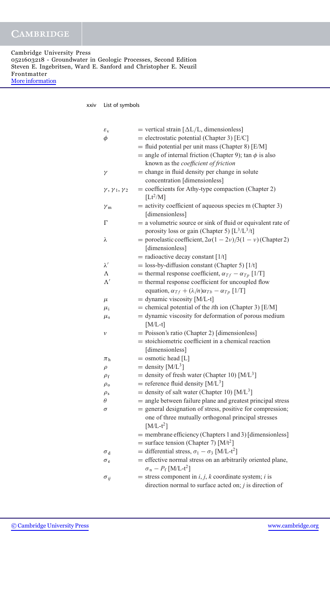#### xxiv List of symbols

| $\varepsilon_{\rm v}$              | = vertical strain $[\Delta L/L,$ dimensionless]                       |
|------------------------------------|-----------------------------------------------------------------------|
| $\phi$                             | $=$ electrostatic potential (Chapter 3) [E/C]                         |
|                                    | $=$ fluid potential per unit mass (Chapter 8) [E/M]                   |
|                                    | = angle of internal friction (Chapter 9); tan $\phi$ is also          |
|                                    | known as the coefficient of friction                                  |
| γ                                  | = change in fluid density per change in solute                        |
|                                    | concentration [dimensionless]                                         |
| $\gamma$ , $\gamma_1$ , $\gamma_2$ | $=$ coefficients for Athy-type compaction (Chapter 2)                 |
|                                    | $[Lt^2/M]$                                                            |
| $\gamma_{\rm m}$                   | $=$ activity coefficient of aqueous species m (Chapter 3)             |
|                                    | [dimensionless]                                                       |
| $\Gamma$                           | = a volumetric source or sink of fluid or equivalent rate of          |
|                                    | porosity loss or gain (Chapter 5) $[L^3/L^3/t]$                       |
| λ                                  | = poroelastic coefficient, $2\alpha(1 - 2\nu)/3(1 - \nu)$ (Chapter 2) |
|                                    | [dimensionless]                                                       |
|                                    | $=$ radioactive decay constant [1/t]                                  |
| $\lambda'$                         | $=$ loss-by-diffusion constant (Chapter 5) [1/t]                      |
| Λ                                  | = thermal response coefficient, $\alpha_{Tf} - \alpha_{Tp}$ [1/T]     |
| $\Lambda'$                         | = thermal response coefficient for uncoupled flow                     |
|                                    | equation, $\alpha_{Tf} + (\lambda/n)\alpha_{Tb} - \alpha_{Tp}$ [1/T]  |
| $\mu$                              | $=$ dynamic viscosity [M/L-t]                                         |
| $\mu_{\rm i}$                      | = chemical potential of the <i>i</i> th ion (Chapter 3) [E/M]         |
| $\mu_{\rm s}$                      | = dynamic viscosity for deformation of porous medium                  |
|                                    | $[M/L-t]$                                                             |
| ν                                  | = Poisson's ratio (Chapter 2) [dimensionless]                         |
|                                    | = stoichiometric coefficient in a chemical reaction                   |
|                                    | [dimensionless]                                                       |
| $\pi_{\rm h}$                      | $=$ osmotic head [L]                                                  |
| $\rho$                             | = density $[M/L^3]$                                                   |
| $\rho_{\rm f}$                     | = density of fresh water (Chapter 10) $[M/L^3]$                       |
| $\rho_{\rm o}$                     | = reference fluid density $[M/L^3]$                                   |
| $\rho_{\rm s}$                     | = density of salt water (Chapter 10) [ $M/L3$ ]                       |
| $\theta$                           | = angle between failure plane and greatest principal stress           |
| $\sigma$                           | = general designation of stress, positive for compression;            |
|                                    | one of three mutually orthogonal principal stresses                   |
|                                    | $[M/L-t^2]$                                                           |
|                                    | = membrane efficiency (Chapters 1 and 3) [dimensionless]              |
|                                    | = surface tension (Chapter 7) $[M/t^2]$                               |
| $\sigma_d$                         | = differential stress, $\sigma_1 - \sigma_3$ [M/L-t <sup>2</sup> ]    |
| $\sigma_e$                         | = effective normal stress on an arbitrarily oriented plane,           |
|                                    | $\sigma_{\rm n} - P_{\rm f}$ [M/L-t <sup>2</sup> ]                    |
| $\sigma_{ii}$                      | = stress component in $i, j, k$ coordinate system; i is               |
|                                    | direction normal to surface acted on; $j$ is direction of             |